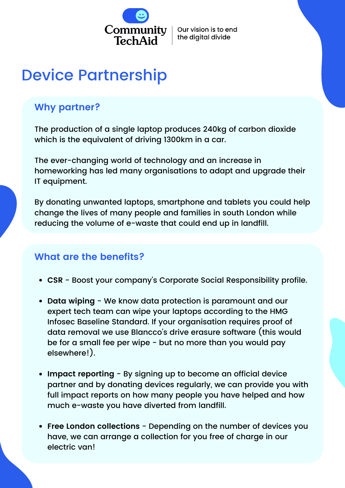

Our vision is to end the digital divide

# Device Partnership

## **Why partner?**

The production of a single laptop produces 240kg of carbon dioxide which is the equivalent of driving 1300km in a car.

The ever-changing world of technology and an increase in homeworking has led many organisations to adapt and upgrade their IT equipment.

By donating unwanted laptops, smartphone and tablets you could help change the lives of many people and families in south London while reducing the volume of e-waste that could end up in landfill.

## **What are the benefits?**

- **CSR** Boost your company's Corporate Social Responsibility profile.
- **Data wiping** We know data protection is paramount and our expert tech team can wipe your laptops according to the HMG Infosec Baseline Standard. If your organisation requires proof of data removal we use Blancco's drive erasure software (this would be for a small fee per wipe - but no more than you would pay elsewhere!).
- **Impact reporting** By signing up to become an official device partner and by donating devices regularly, we can provide you with full impact reports on how many people you have helped and how much e-waste you have diverted from landfill.
- **Free London collections** Depending on the number of devices you have, we can arrange a collection for you free of charge in our electric van!